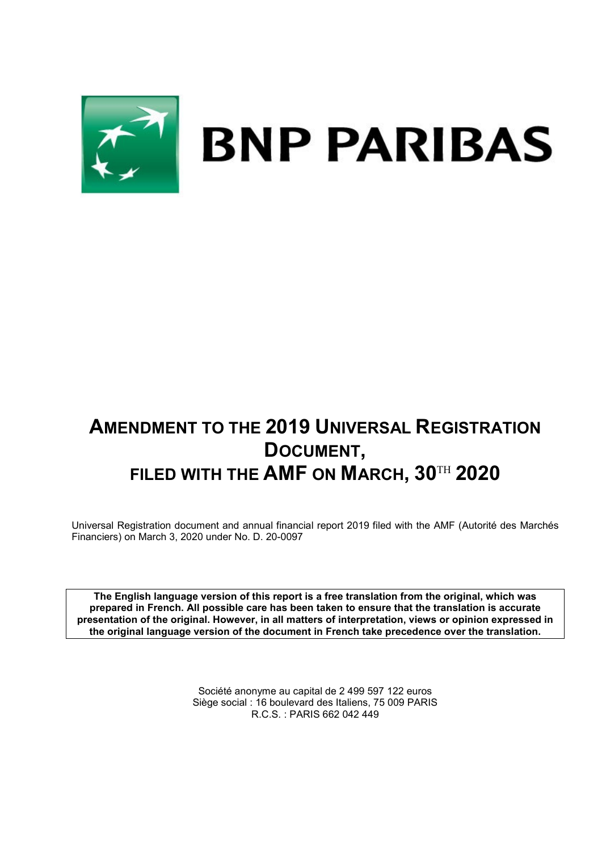

# **AMENDMENT TO THE 2019 UNIVERSAL REGISTRATION DOCUMENT, FILED WITH THE AMF ON MARCH, 30**TH **2020**

Universal Registration document and annual financial report 2019 filed with the AMF (Autorité des Marchés Financiers) on March 3, 2020 under No. D. 20-0097

**The English language version of this report is a free translation from the original, which was prepared in French. All possible care has been taken to ensure that the translation is accurate presentation of the original. However, in all matters of interpretation, views or opinion expressed in the original language version of the document in French take precedence over the translation.**

> Société anonyme au capital de 2 499 597 122 euros Siège social : 16 boulevard des Italiens, 75 009 PARIS R.C.S. : PARIS 662 042 449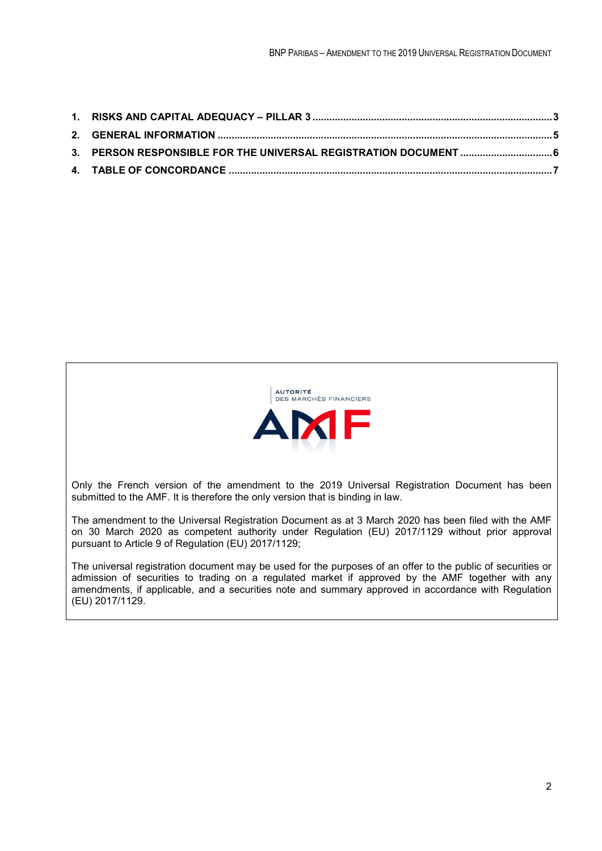

Only the French version of the amendment to the 2019 Universal Registration Document has been submitted to the AMF. It is therefore the only version that is binding in law.

The amendment to the Universal Registration Document as at 3 March 2020 has been filed with the AMF on 30 March 2020 as competent authority under Regulation (EU) 2017/1129 without prior approval pursuant to Article 9 of Regulation (EU) 2017/1129;

The universal registration document may be used for the purposes of an offer to the public of securities or admission of securities to trading on a regulated market if approved by the AMF together with any amendments, if applicable, and a securities note and summary approved in accordance with Regulation (EU) 2017/1129.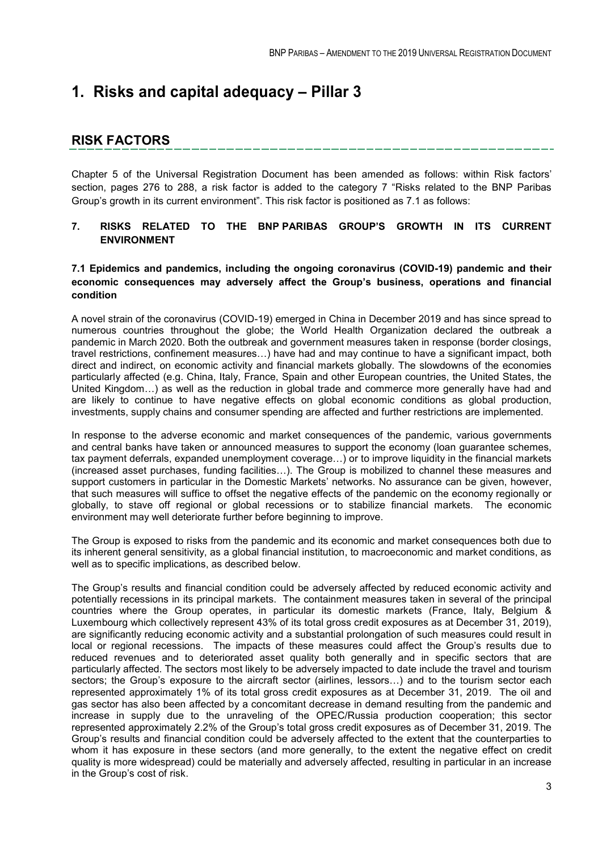# **1. Risks and capital adequacy – Pillar 3**

## **RISK FACTORS**

Chapter 5 of the Universal Registration Document has been amended as follows: within Risk factors' section, pages 276 to 288, a risk factor is added to the category 7 "Risks related to the BNP Paribas Group's growth in its current environment". This risk factor is positioned as 7.1 as follows:

## **7. RISKS RELATED TO THE BNP PARIBAS GROUP'S GROWTH IN ITS CURRENT ENVIRONMENT**

### **7.1 Epidemics and pandemics, including the ongoing coronavirus (COVID-19) pandemic and their economic consequences may adversely affect the Group's business, operations and financial condition**

A novel strain of the coronavirus (COVID-19) emerged in China in December 2019 and has since spread to numerous countries throughout the globe; the World Health Organization declared the outbreak a pandemic in March 2020. Both the outbreak and government measures taken in response (border closings, travel restrictions, confinement measures…) have had and may continue to have a significant impact, both direct and indirect, on economic activity and financial markets globally. The slowdowns of the economies particularly affected (e.g. China, Italy, France, Spain and other European countries, the United States, the United Kingdom…) as well as the reduction in global trade and commerce more generally have had and are likely to continue to have negative effects on global economic conditions as global production, investments, supply chains and consumer spending are affected and further restrictions are implemented.

In response to the adverse economic and market consequences of the pandemic, various governments and central banks have taken or announced measures to support the economy (loan guarantee schemes, tax payment deferrals, expanded unemployment coverage…) or to improve liquidity in the financial markets (increased asset purchases, funding facilities…). The Group is mobilized to channel these measures and support customers in particular in the Domestic Markets' networks. No assurance can be given, however, that such measures will suffice to offset the negative effects of the pandemic on the economy regionally or globally, to stave off regional or global recessions or to stabilize financial markets. The economic environment may well deteriorate further before beginning to improve.

The Group is exposed to risks from the pandemic and its economic and market consequences both due to its inherent general sensitivity, as a global financial institution, to macroeconomic and market conditions, as well as to specific implications, as described below.

The Group's results and financial condition could be adversely affected by reduced economic activity and potentially recessions in its principal markets. The containment measures taken in several of the principal countries where the Group operates, in particular its domestic markets (France, Italy, Belgium & Luxembourg which collectively represent 43% of its total gross credit exposures as at December 31, 2019), are significantly reducing economic activity and a substantial prolongation of such measures could result in local or regional recessions. The impacts of these measures could affect the Group's results due to reduced revenues and to deteriorated asset quality both generally and in specific sectors that are particularly affected. The sectors most likely to be adversely impacted to date include the travel and tourism sectors; the Group's exposure to the aircraft sector (airlines, lessors...) and to the tourism sector each represented approximately 1% of its total gross credit exposures as at December 31, 2019. The oil and gas sector has also been affected by a concomitant decrease in demand resulting from the pandemic and increase in supply due to the unraveling of the OPEC/Russia production cooperation; this sector represented approximately 2.2% of the Group's total gross credit exposures as of December 31, 2019. The Group's results and financial condition could be adversely affected to the extent that the counterparties to whom it has exposure in these sectors (and more generally, to the extent the negative effect on credit quality is more widespread) could be materially and adversely affected, resulting in particular in an increase in the Group's cost of risk.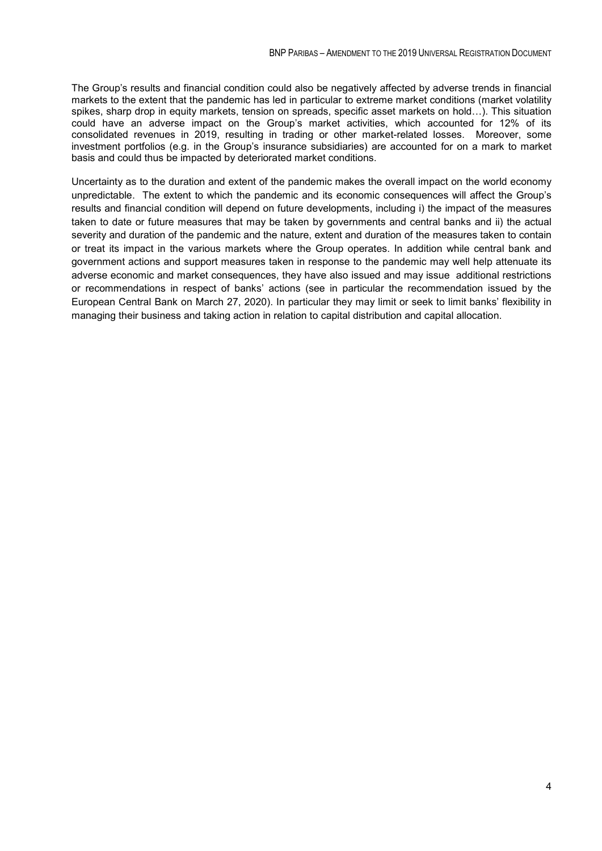The Group's results and financial condition could also be negatively affected by adverse trends in financial markets to the extent that the pandemic has led in particular to extreme market conditions (market volatility spikes, sharp drop in equity markets, tension on spreads, specific asset markets on hold…). This situation could have an adverse impact on the Group's market activities, which accounted for 12% of its consolidated revenues in 2019, resulting in trading or other market-related losses. Moreover, some investment portfolios (e.g. in the Group's insurance subsidiaries) are accounted for on a mark to market basis and could thus be impacted by deteriorated market conditions.

Uncertainty as to the duration and extent of the pandemic makes the overall impact on the world economy unpredictable. The extent to which the pandemic and its economic consequences will affect the Group's results and financial condition will depend on future developments, including i) the impact of the measures taken to date or future measures that may be taken by governments and central banks and ii) the actual severity and duration of the pandemic and the nature, extent and duration of the measures taken to contain or treat its impact in the various markets where the Group operates. In addition while central bank and government actions and support measures taken in response to the pandemic may well help attenuate its adverse economic and market consequences, they have also issued and may issue additional restrictions or recommendations in respect of banks' actions (see in particular the recommendation issued by the European Central Bank on March 27, 2020). In particular they may limit or seek to limit banks' flexibility in managing their business and taking action in relation to capital distribution and capital allocation.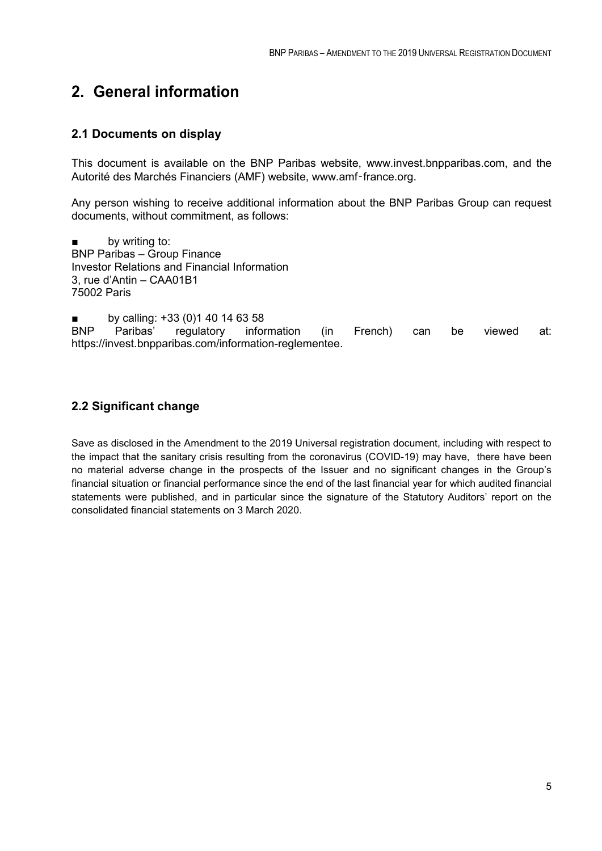# **2. General information**

## **2.1 Documents on display**

This document is available on the BNP Paribas website, www.invest.bnpparibas.com, and the Autorité des Marchés Financiers (AMF) website, www.amf‑france.org.

Any person wishing to receive additional information about the BNP Paribas Group can request documents, without commitment, as follows:

by writing to: BNP Paribas – Group Finance Investor Relations and Financial Information 3, rue d'Antin – CAA01B1 75002 Paris

■ by calling: +33 (0)1 40 14 63 58<br>BNP Paribas' regulatory infor Paribas' regulatory information (in French) can be viewed at: https://invest.bnpparibas.com/information-reglementee.

## **2.2 Significant change**

Save as disclosed in the Amendment to the 2019 Universal registration document, including with respect to the impact that the sanitary crisis resulting from the coronavirus (COVID-19) may have, there have been no material adverse change in the prospects of the Issuer and no significant changes in the Group's financial situation or financial performance since the end of the last financial year for which audited financial statements were published, and in particular since the signature of the Statutory Auditors' report on the consolidated financial statements on 3 March 2020.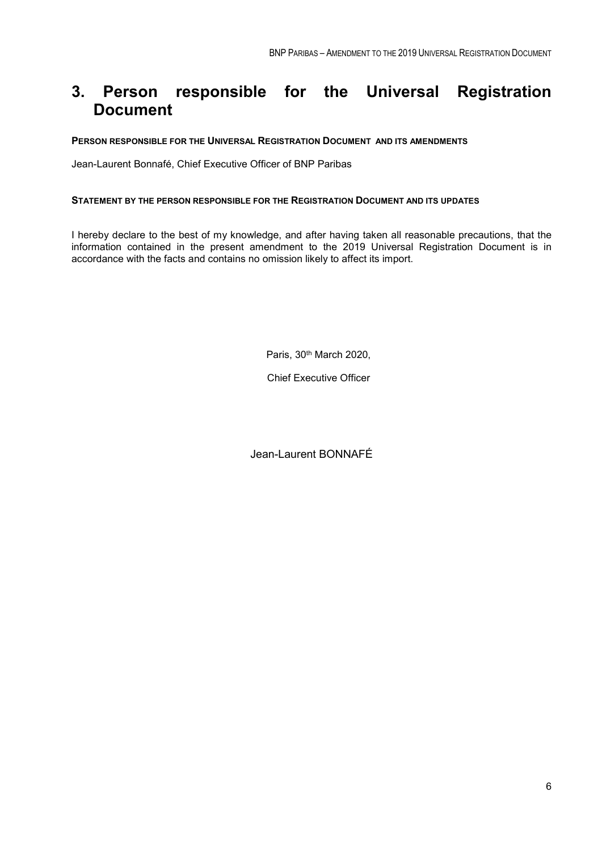# **3. Person responsible for the Universal Registration Document**

#### **PERSON RESPONSIBLE FOR THE UNIVERSAL REGISTRATION DOCUMENT AND ITS AMENDMENTS**

Jean-Laurent Bonnafé, Chief Executive Officer of BNP Paribas

#### **STATEMENT BY THE PERSON RESPONSIBLE FOR THE REGISTRATION DOCUMENT AND ITS UPDATES**

I hereby declare to the best of my knowledge, and after having taken all reasonable precautions, that the information contained in the present amendment to the 2019 Universal Registration Document is in accordance with the facts and contains no omission likely to affect its import.

Paris, 30<sup>th</sup> March 2020,

Chief Executive Officer

Jean-Laurent BONNAFÉ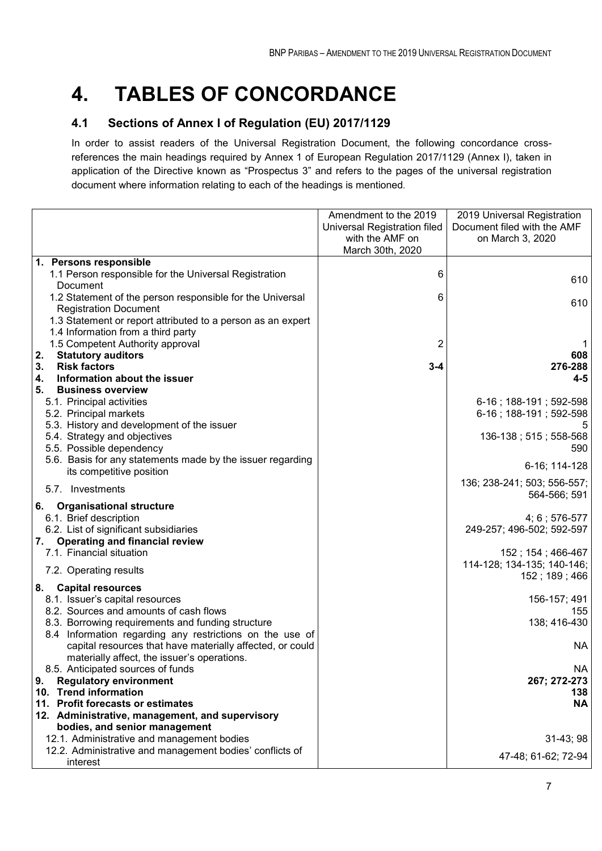# **4. TABLES OF CONCORDANCE**

## **4.1 Sections of Annex I of Regulation (EU) 2017/1129**

In order to assist readers of the Universal Registration Document, the following concordance crossreferences the main headings required by Annex 1 of European Regulation 2017/1129 (Annex I), taken in application of the Directive known as "Prospectus 3" and refers to the pages of the universal registration document where information relating to each of the headings is mentioned.

|                                                                                        | Amendment to the 2019        | 2019 Universal Registration                 |
|----------------------------------------------------------------------------------------|------------------------------|---------------------------------------------|
|                                                                                        | Universal Registration filed | Document filed with the AMF                 |
|                                                                                        | with the AMF on              | on March 3, 2020                            |
|                                                                                        | March 30th, 2020             |                                             |
| 1. Persons responsible                                                                 |                              |                                             |
| 1.1 Person responsible for the Universal Registration                                  | 6                            | 610                                         |
| Document                                                                               |                              |                                             |
| 1.2 Statement of the person responsible for the Universal                              | 6                            | 610                                         |
| <b>Registration Document</b>                                                           |                              |                                             |
| 1.3 Statement or report attributed to a person as an expert                            |                              |                                             |
| 1.4 Information from a third party                                                     |                              |                                             |
| 1.5 Competent Authority approval                                                       | 2                            | 1                                           |
| 2.<br><b>Statutory auditors</b>                                                        |                              | 608                                         |
| 3.<br><b>Risk factors</b>                                                              | $3 - 4$                      | 276-288                                     |
| Information about the issuer<br>4.                                                     |                              | $4 - 5$                                     |
| 5.<br><b>Business overview</b>                                                         |                              |                                             |
| 5.1. Principal activities                                                              |                              | 6-16; 188-191; 592-598                      |
| 5.2. Principal markets                                                                 |                              | 6-16; 188-191; 592-598                      |
| 5.3. History and development of the issuer                                             |                              | 5                                           |
| 5.4. Strategy and objectives                                                           |                              | 136-138; 515; 558-568                       |
| 5.5. Possible dependency                                                               |                              | 590                                         |
| 5.6. Basis for any statements made by the issuer regarding<br>its competitive position |                              | 6-16; 114-128                               |
|                                                                                        |                              |                                             |
| 5.7. Investments                                                                       |                              | 136; 238-241; 503; 556-557;<br>564-566; 591 |
| <b>Organisational structure</b><br>6.                                                  |                              |                                             |
| 6.1. Brief description                                                                 |                              | 4; 6; 576-577                               |
| 6.2. List of significant subsidiaries                                                  |                              | 249-257; 496-502; 592-597                   |
| <b>Operating and financial review</b><br>7.                                            |                              |                                             |
| 7.1. Financial situation                                                               |                              | 152; 154; 466-467                           |
|                                                                                        |                              | 114-128; 134-135; 140-146;                  |
| 7.2. Operating results                                                                 |                              | 152; 189; 466                               |
| <b>Capital resources</b><br>8.                                                         |                              |                                             |
| 8.1. Issuer's capital resources                                                        |                              | 156-157; 491                                |
| 8.2. Sources and amounts of cash flows                                                 |                              | 155                                         |
| 8.3. Borrowing requirements and funding structure                                      |                              | 138; 416-430                                |
| 8.4 Information regarding any restrictions on the use of                               |                              |                                             |
| capital resources that have materially affected, or could                              |                              | NA                                          |
| materially affect, the issuer's operations.                                            |                              |                                             |
| 8.5. Anticipated sources of funds                                                      |                              | NA                                          |
| <b>Regulatory environment</b><br>9.                                                    |                              | 267; 272-273                                |
| 10. Trend information                                                                  |                              | 138                                         |
| 11. Profit forecasts or estimates                                                      |                              | <b>NA</b>                                   |
| 12. Administrative, management, and supervisory                                        |                              |                                             |
| bodies, and senior management                                                          |                              |                                             |
| 12.1. Administrative and management bodies                                             |                              | $31-43;98$                                  |
| 12.2. Administrative and management bodies' conflicts of                               |                              | 47-48; 61-62; 72-94                         |
| interest                                                                               |                              |                                             |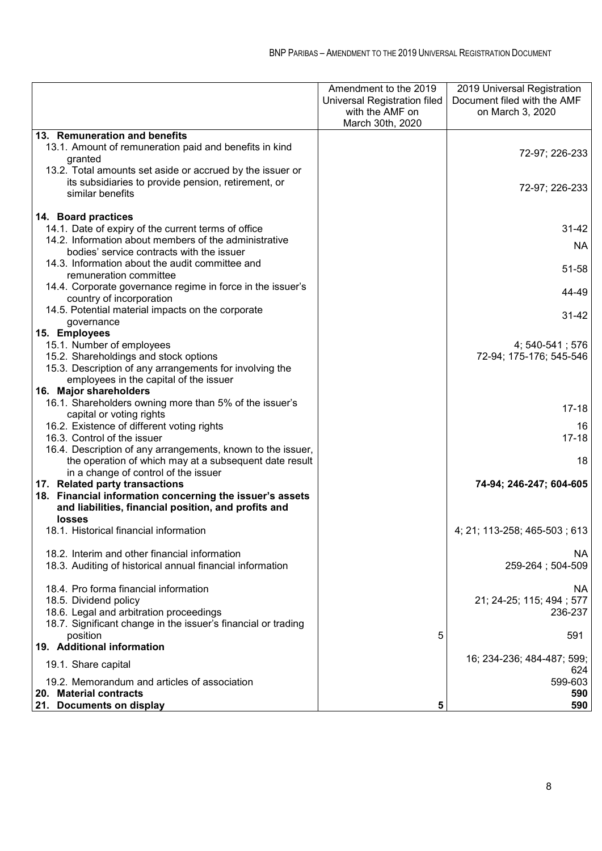|                                                                                                                       | Amendment to the 2019<br>Universal Registration filed<br>with the AMF on<br>March 30th, 2020 | 2019 Universal Registration<br>Document filed with the AMF<br>on March 3, 2020 |
|-----------------------------------------------------------------------------------------------------------------------|----------------------------------------------------------------------------------------------|--------------------------------------------------------------------------------|
| 13. Remuneration and benefits                                                                                         |                                                                                              |                                                                                |
| 13.1. Amount of remuneration paid and benefits in kind                                                                |                                                                                              | 72-97; 226-233                                                                 |
| granted                                                                                                               |                                                                                              |                                                                                |
| 13.2. Total amounts set aside or accrued by the issuer or                                                             |                                                                                              |                                                                                |
| its subsidiaries to provide pension, retirement, or                                                                   |                                                                                              | 72-97; 226-233                                                                 |
| similar benefits                                                                                                      |                                                                                              |                                                                                |
| 14. Board practices                                                                                                   |                                                                                              |                                                                                |
| 14.1. Date of expiry of the current terms of office                                                                   |                                                                                              | $31 - 42$                                                                      |
| 14.2. Information about members of the administrative                                                                 |                                                                                              |                                                                                |
| bodies' service contracts with the issuer                                                                             |                                                                                              | NA.                                                                            |
| 14.3. Information about the audit committee and                                                                       |                                                                                              |                                                                                |
| remuneration committee                                                                                                |                                                                                              | 51-58                                                                          |
| 14.4. Corporate governance regime in force in the issuer's                                                            |                                                                                              |                                                                                |
| country of incorporation                                                                                              |                                                                                              | 44-49                                                                          |
| 14.5. Potential material impacts on the corporate                                                                     |                                                                                              | $31 - 42$                                                                      |
| governance                                                                                                            |                                                                                              |                                                                                |
| 15. Employees                                                                                                         |                                                                                              |                                                                                |
| 15.1. Number of employees                                                                                             |                                                                                              | 4; 540-541; 576                                                                |
| 15.2. Shareholdings and stock options                                                                                 |                                                                                              | 72-94; 175-176; 545-546                                                        |
| 15.3. Description of any arrangements for involving the                                                               |                                                                                              |                                                                                |
| employees in the capital of the issuer                                                                                |                                                                                              |                                                                                |
| 16. Major shareholders                                                                                                |                                                                                              |                                                                                |
| 16.1. Shareholders owning more than 5% of the issuer's                                                                |                                                                                              | $17 - 18$                                                                      |
| capital or voting rights                                                                                              |                                                                                              |                                                                                |
| 16.2. Existence of different voting rights                                                                            |                                                                                              | 16<br>$17 - 18$                                                                |
| 16.3. Control of the issuer                                                                                           |                                                                                              |                                                                                |
| 16.4. Description of any arrangements, known to the issuer,<br>the operation of which may at a subsequent date result |                                                                                              | 18                                                                             |
| in a change of control of the issuer                                                                                  |                                                                                              |                                                                                |
| 17. Related party transactions                                                                                        |                                                                                              | 74-94; 246-247; 604-605                                                        |
| 18. Financial information concerning the issuer's assets                                                              |                                                                                              |                                                                                |
| and liabilities, financial position, and profits and                                                                  |                                                                                              |                                                                                |
| <b>losses</b>                                                                                                         |                                                                                              |                                                                                |
| 18.1. Historical financial information                                                                                |                                                                                              | 4; 21; 113-258; 465-503; 613                                                   |
|                                                                                                                       |                                                                                              |                                                                                |
| 18.2. Interim and other financial information                                                                         |                                                                                              | <b>NA</b>                                                                      |
| 18.3. Auditing of historical annual financial information                                                             |                                                                                              | 259-264; 504-509                                                               |
|                                                                                                                       |                                                                                              |                                                                                |
| 18.4. Pro forma financial information                                                                                 |                                                                                              | NA.                                                                            |
| 18.5. Dividend policy                                                                                                 |                                                                                              | 21; 24-25; 115; 494; 577                                                       |
| 18.6. Legal and arbitration proceedings                                                                               |                                                                                              | 236-237                                                                        |
| 18.7. Significant change in the issuer's financial or trading                                                         |                                                                                              |                                                                                |
| position<br>19. Additional information                                                                                | 5                                                                                            | 591                                                                            |
|                                                                                                                       |                                                                                              | 16; 234-236; 484-487; 599;                                                     |
| 19.1. Share capital                                                                                                   |                                                                                              | 624                                                                            |
| 19.2. Memorandum and articles of association                                                                          |                                                                                              | 599-603                                                                        |
| 20. Material contracts                                                                                                |                                                                                              | 590                                                                            |
| 21. Documents on display                                                                                              | 5                                                                                            | 590                                                                            |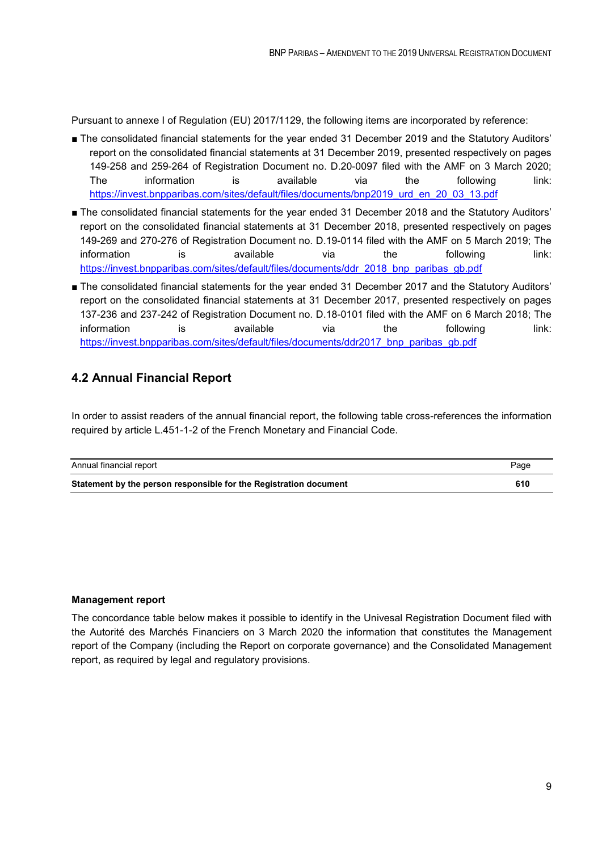Pursuant to annexe I of Regulation (EU) 2017/1129, the following items are incorporated by reference:

- The consolidated financial statements for the year ended 31 December 2019 and the Statutory Auditors' report on the consolidated financial statements at 31 December 2019, presented respectively on pages 149-258 and 259-264 of Registration Document no. D.20-0097 filed with the AMF on 3 March 2020; The information is available via the following link: [https://invest.bnpparibas.com/sites/default/files/documents/bnp2019\\_urd\\_en\\_20\\_03\\_13.pdf](https://invest.bnpparibas.com/sites/default/files/documents/bnp2019_urd_en_20_03_13.pdf)
- The consolidated financial statements for the year ended 31 December 2018 and the Statutory Auditors' report on the consolidated financial statements at 31 December 2018, presented respectively on pages 149-269 and 270-276 of Registration Document no. D.19-0114 filed with the AMF on 5 March 2019; The information is available via the following link: [https://invest.bnpparibas.com/sites/default/files/documents/ddr\\_2018\\_bnp\\_paribas\\_gb.pdf](https://invest.bnpparibas.com/sites/default/files/documents/ddr_2018_bnp_paribas_gb.pdf)
- The consolidated financial statements for the year ended 31 December 2017 and the Statutory Auditors' report on the consolidated financial statements at 31 December 2017, presented respectively on pages 137-236 and 237-242 of Registration Document no. D.18-0101 filed with the AMF on 6 March 2018; The information is available via the following link: [https://invest.bnpparibas.com/sites/default/files/documents/ddr2017\\_bnp\\_paribas\\_gb.pdf](https://invest.bnpparibas.com/sites/default/files/documents/ddr2017_bnp_paribas_gb.pdf)

## **4.2 Annual Financial Report**

In order to assist readers of the annual financial report, the following table cross-references the information required by article L.451-1-2 of the French Monetary and Financial Code.

| Annual financial report                                           | Page |
|-------------------------------------------------------------------|------|
| Statement by the person responsible for the Registration document | 610  |

#### **Management report**

The concordance table below makes it possible to identify in the Univesal Registration Document filed with the Autorité des Marchés Financiers on 3 March 2020 the information that constitutes the Management report of the Company (including the Report on corporate governance) and the Consolidated Management report, as required by legal and regulatory provisions.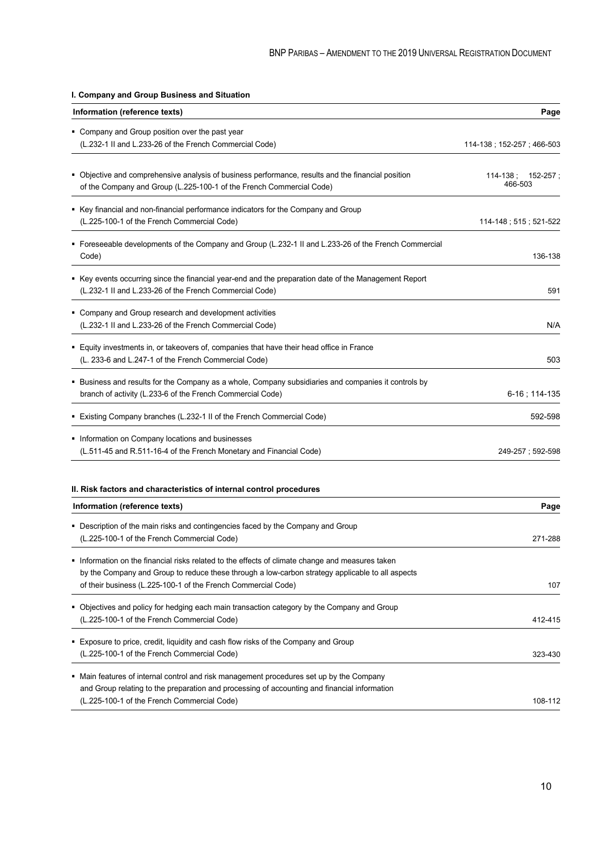| I. Company and Group Business and Situation                                                                                                                                                                                                                         |                                    |
|---------------------------------------------------------------------------------------------------------------------------------------------------------------------------------------------------------------------------------------------------------------------|------------------------------------|
| Information (reference texts)                                                                                                                                                                                                                                       | Page                               |
| • Company and Group position over the past year<br>(L.232-1 II and L.233-26 of the French Commercial Code)                                                                                                                                                          | 114-138 ; 152-257 ; 466-503        |
| • Objective and comprehensive analysis of business performance, results and the financial position<br>of the Company and Group (L.225-100-1 of the French Commercial Code)                                                                                          | $114-138$ ; $152-257$ ;<br>466-503 |
| • Key financial and non-financial performance indicators for the Company and Group<br>(L.225-100-1 of the French Commercial Code)                                                                                                                                   | 114-148; 515; 521-522              |
| Foreseeable developments of the Company and Group (L.232-1 II and L.233-26 of the French Commercial<br>Code)                                                                                                                                                        | 136-138                            |
| ■ Key events occurring since the financial year-end and the preparation date of the Management Report<br>(L.232-1 II and L.233-26 of the French Commercial Code)                                                                                                    | 591                                |
| • Company and Group research and development activities<br>(L.232-1 II and L.233-26 of the French Commercial Code)                                                                                                                                                  | N/A                                |
| • Equity investments in, or takeovers of, companies that have their head office in France<br>(L. 233-6 and L.247-1 of the French Commercial Code)                                                                                                                   | 503                                |
| • Business and results for the Company as a whole, Company subsidiaries and companies it controls by<br>branch of activity (L.233-6 of the French Commercial Code)                                                                                                  | 6-16 ; 114-135                     |
| • Existing Company branches (L.232-1 II of the French Commercial Code)                                                                                                                                                                                              | 592-598                            |
| Information on Company locations and businesses<br>(L.511-45 and R.511-16-4 of the French Monetary and Financial Code)                                                                                                                                              | 249-257; 592-598                   |
| II. Risk factors and characteristics of internal control procedures<br>Information (reference texts)                                                                                                                                                                | Page                               |
| • Description of the main risks and contingencies faced by the Company and Group<br>(L.225-100-1 of the French Commercial Code)                                                                                                                                     | 271-288                            |
| Information on the financial risks related to the effects of climate change and measures taken<br>by the Company and Group to reduce these through a low-carbon strategy applicable to all aspects<br>of their business (L.225-100-1 of the French Commercial Code) | 107                                |
| • Objectives and policy for hedging each main transaction category by the Company and Group<br>(L.225-100-1 of the French Commercial Code)                                                                                                                          | 412-415                            |
| ■ Exposure to price, credit, liquidity and cash flow risks of the Company and Group<br>(L.225-100-1 of the French Commercial Code)                                                                                                                                  | 323-430                            |
| • Main features of internal control and risk management procedures set up by the Company<br>and Group relating to the preparation and processing of accounting and financial information<br>(L.225-100-1 of the French Commercial Code)                             | 108-112                            |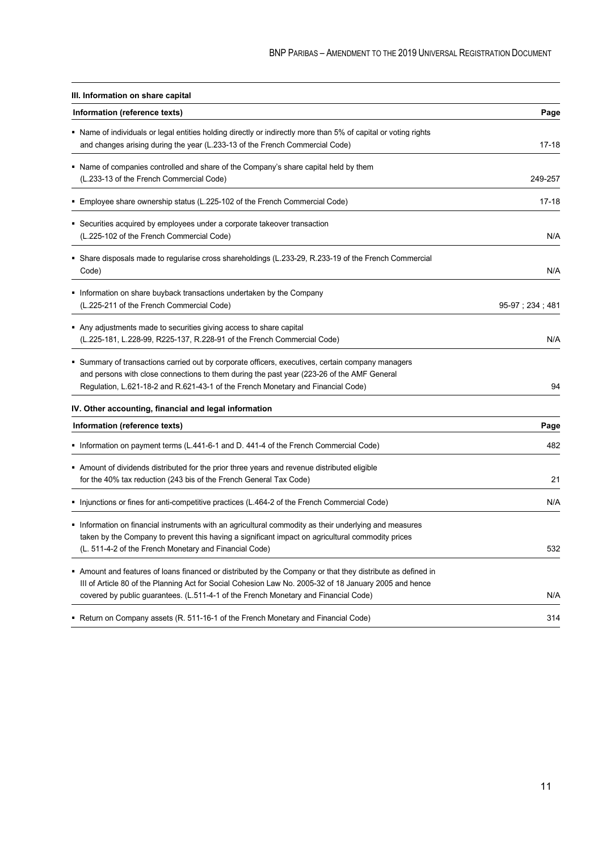| III. Information on share capital                                                                                                                                                                                                                                                                          |                 |
|------------------------------------------------------------------------------------------------------------------------------------------------------------------------------------------------------------------------------------------------------------------------------------------------------------|-----------------|
| Information (reference texts)                                                                                                                                                                                                                                                                              | Page            |
| • Name of individuals or legal entities holding directly or indirectly more than 5% of capital or voting rights<br>and changes arising during the year (L.233-13 of the French Commercial Code)                                                                                                            | $17 - 18$       |
| • Name of companies controlled and share of the Company's share capital held by them<br>(L.233-13 of the French Commercial Code)                                                                                                                                                                           | 249-257         |
| ■ Employee share ownership status (L.225-102 of the French Commercial Code)                                                                                                                                                                                                                                | 17-18           |
| • Securities acquired by employees under a corporate takeover transaction<br>(L.225-102 of the French Commercial Code)                                                                                                                                                                                     | N/A             |
| Share disposals made to regularise cross shareholdings (L.233-29, R.233-19 of the French Commercial<br>Code)                                                                                                                                                                                               | N/A             |
| Information on share buyback transactions undertaken by the Company<br>(L.225-211 of the French Commercial Code)                                                                                                                                                                                           | 95-97; 234; 481 |
| Any adjustments made to securities giving access to share capital<br>(L.225-181, L.228-99, R225-137, R.228-91 of the French Commercial Code)                                                                                                                                                               | N/A             |
| • Summary of transactions carried out by corporate officers, executives, certain company managers<br>and persons with close connections to them during the past year (223-26 of the AMF General<br>Regulation, L.621-18-2 and R.621-43-1 of the French Monetary and Financial Code)                        | 94              |
| IV. Other accounting, financial and legal information                                                                                                                                                                                                                                                      |                 |
| Information (reference texts)                                                                                                                                                                                                                                                                              | Page            |
| Information on payment terms (L.441-6-1 and D. 441-4 of the French Commercial Code)                                                                                                                                                                                                                        | 482             |
| Amount of dividends distributed for the prior three years and revenue distributed eligible<br>for the 40% tax reduction (243 bis of the French General Tax Code)                                                                                                                                           | 21              |
| Injunctions or fines for anti-competitive practices (L.464-2 of the French Commercial Code)                                                                                                                                                                                                                | N/A             |
| Information on financial instruments with an agricultural commodity as their underlying and measures<br>taken by the Company to prevent this having a significant impact on agricultural commodity prices<br>(L. 511-4-2 of the French Monetary and Financial Code)                                        | 532             |
| Amount and features of loans financed or distributed by the Company or that they distribute as defined in<br>III of Article 80 of the Planning Act for Social Cohesion Law No. 2005-32 of 18 January 2005 and hence<br>covered by public guarantees. (L.511-4-1 of the French Monetary and Financial Code) | N/A             |
| Return on Company assets (R. 511-16-1 of the French Monetary and Financial Code)                                                                                                                                                                                                                           | 314             |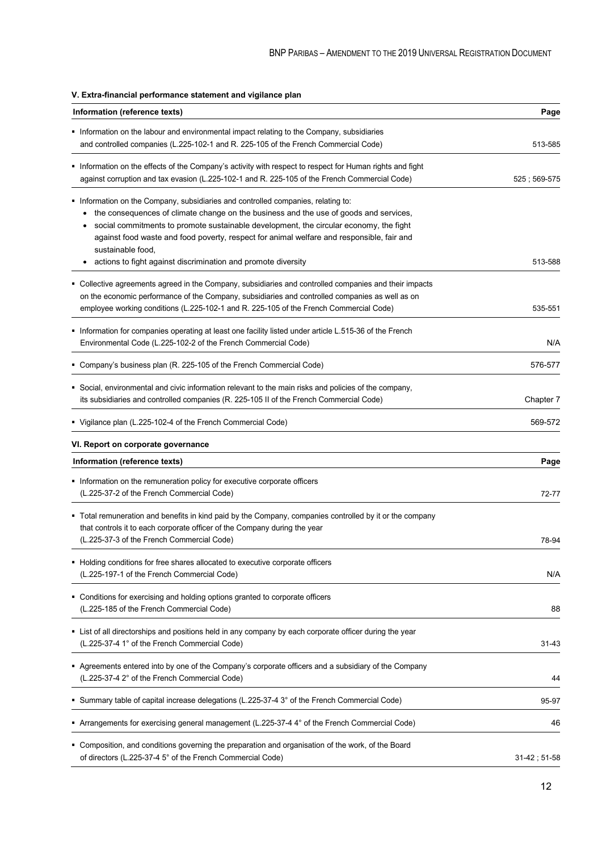#### **V. Extra-financial performance statement and vigilance plan**

| Information (reference texts)                                                                                                                                                                                                                                                                                                                                                          | Page           |
|----------------------------------------------------------------------------------------------------------------------------------------------------------------------------------------------------------------------------------------------------------------------------------------------------------------------------------------------------------------------------------------|----------------|
| • Information on the labour and environmental impact relating to the Company, subsidiaries<br>and controlled companies (L.225-102-1 and R. 225-105 of the French Commercial Code)                                                                                                                                                                                                      | 513-585        |
| Information on the effects of the Company's activity with respect to respect for Human rights and fight<br>against corruption and tax evasion (L.225-102-1 and R. 225-105 of the French Commercial Code)                                                                                                                                                                               | $525:569-575$  |
| • Information on the Company, subsidiaries and controlled companies, relating to:<br>the consequences of climate change on the business and the use of goods and services,<br>social commitments to promote sustainable development, the circular economy, the fight<br>against food waste and food poverty, respect for animal welfare and responsible, fair and<br>sustainable food, |                |
| actions to fight against discrimination and promote diversity<br>٠                                                                                                                                                                                                                                                                                                                     | 513-588        |
| • Collective agreements agreed in the Company, subsidiaries and controlled companies and their impacts<br>on the economic performance of the Company, subsidiaries and controlled companies as well as on<br>employee working conditions (L.225-102-1 and R. 225-105 of the French Commercial Code)                                                                                    | 535-551        |
| Information for companies operating at least one facility listed under article L.515-36 of the French<br>Environmental Code (L.225-102-2 of the French Commercial Code)                                                                                                                                                                                                                | N/A            |
| Company's business plan (R. 225-105 of the French Commercial Code)                                                                                                                                                                                                                                                                                                                     | 576-577        |
| Social, environmental and civic information relevant to the main risks and policies of the company,<br>its subsidiaries and controlled companies (R. 225-105 II of the French Commercial Code)                                                                                                                                                                                         | Chapter 7      |
| • Vigilance plan (L.225-102-4 of the French Commercial Code)                                                                                                                                                                                                                                                                                                                           | 569-572        |
| VI. Report on corporate governance                                                                                                                                                                                                                                                                                                                                                     |                |
| Information (reference texts)                                                                                                                                                                                                                                                                                                                                                          | Page           |
| Information on the remuneration policy for executive corporate officers<br>(L.225-37-2 of the French Commercial Code)                                                                                                                                                                                                                                                                  | 72-77          |
| • Total remuneration and benefits in kind paid by the Company, companies controlled by it or the company<br>that controls it to each corporate officer of the Company during the year<br>(L.225-37-3 of the French Commercial Code)                                                                                                                                                    | 78-94          |
| • Holding conditions for free shares allocated to executive corporate officers<br>(L.225-197-1 of the French Commercial Code)                                                                                                                                                                                                                                                          | N/A            |
| • Conditions for exercising and holding options granted to corporate officers<br>(L.225-185 of the French Commercial Code)                                                                                                                                                                                                                                                             | 88             |
| • List of all directorships and positions held in any company by each corporate officer during the year<br>(L.225-37-4 1° of the French Commercial Code)                                                                                                                                                                                                                               | $31 - 43$      |
| Agreements entered into by one of the Company's corporate officers and a subsidiary of the Company<br>(L.225-37-4 2° of the French Commercial Code)                                                                                                                                                                                                                                    | 44             |
| Summary table of capital increase delegations (L.225-37-4 3° of the French Commercial Code)                                                                                                                                                                                                                                                                                            | 95-97          |
| Arrangements for exercising general management (L.225-37-4 4° of the French Commercial Code)                                                                                                                                                                                                                                                                                           | 46             |
| • Composition, and conditions governing the preparation and organisation of the work, of the Board<br>of directors (L.225-37-4 5° of the French Commercial Code)                                                                                                                                                                                                                       | $31-42; 51-58$ |